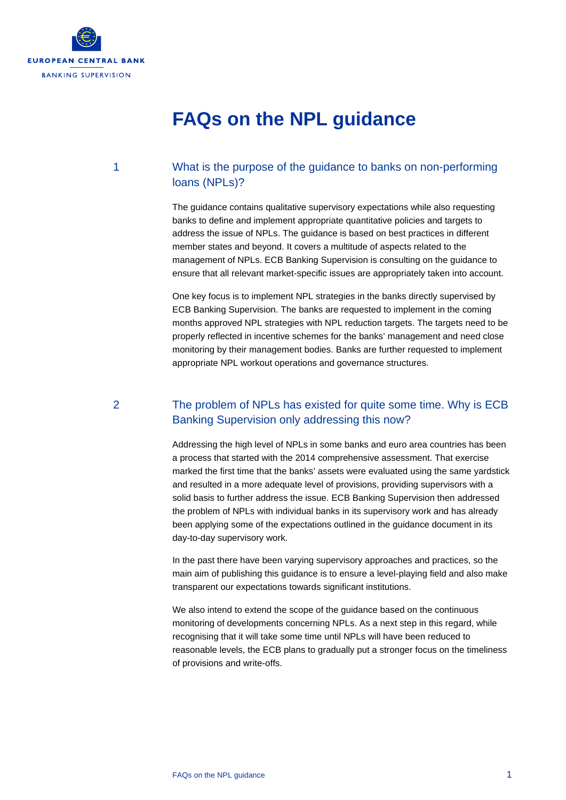

# **FAQs on the NPL guidance**

## 1 What is the purpose of the guidance to banks on non-performing loans (NPLs)?

The guidance contains qualitative supervisory expectations while also requesting banks to define and implement appropriate quantitative policies and targets to address the issue of NPLs. The guidance is based on best practices in different member states and beyond. It covers a multitude of aspects related to the management of NPLs. ECB Banking Supervision is consulting on the guidance to ensure that all relevant market-specific issues are appropriately taken into account.

One key focus is to implement NPL strategies in the banks directly supervised by ECB Banking Supervision. The banks are requested to implement in the coming months approved NPL strategies with NPL reduction targets. The targets need to be properly reflected in incentive schemes for the banks' management and need close monitoring by their management bodies. Banks are further requested to implement appropriate NPL workout operations and governance structures.

## 2 The problem of NPLs has existed for quite some time. Why is ECB Banking Supervision only addressing this now?

Addressing the high level of NPLs in some banks and euro area countries has been a process that started with the 2014 comprehensive assessment. That exercise marked the first time that the banks' assets were evaluated using the same yardstick and resulted in a more adequate level of provisions, providing supervisors with a solid basis to further address the issue. ECB Banking Supervision then addressed the problem of NPLs with individual banks in its supervisory work and has already been applying some of the expectations outlined in the guidance document in its day-to-day supervisory work.

In the past there have been varying supervisory approaches and practices, so the main aim of publishing this guidance is to ensure a level-playing field and also make transparent our expectations towards significant institutions.

We also intend to extend the scope of the guidance based on the continuous monitoring of developments concerning NPLs. As a next step in this regard, while recognising that it will take some time until NPLs will have been reduced to reasonable levels, the ECB plans to gradually put a stronger focus on the timeliness of provisions and write-offs.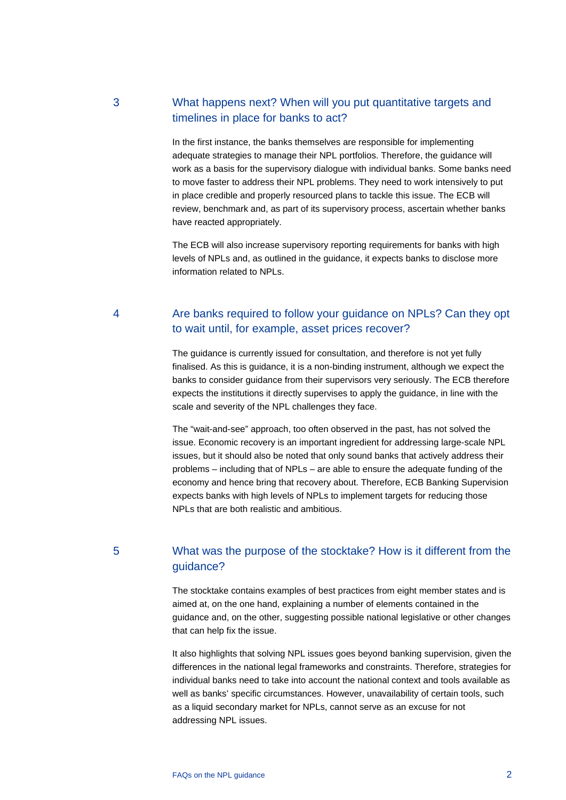# 3 What happens next? When will you put quantitative targets and timelines in place for banks to act?

In the first instance, the banks themselves are responsible for implementing adequate strategies to manage their NPL portfolios. Therefore, the guidance will work as a basis for the supervisory dialogue with individual banks. Some banks need to move faster to address their NPL problems. They need to work intensively to put in place credible and properly resourced plans to tackle this issue. The ECB will review, benchmark and, as part of its supervisory process, ascertain whether banks have reacted appropriately.

The ECB will also increase supervisory reporting requirements for banks with high levels of NPLs and, as outlined in the guidance, it expects banks to disclose more information related to NPLs.

## 4 Are banks required to follow your guidance on NPLs? Can they opt to wait until, for example, asset prices recover?

The guidance is currently issued for consultation, and therefore is not yet fully finalised. As this is guidance, it is a non-binding instrument, although we expect the banks to consider guidance from their supervisors very seriously. The ECB therefore expects the institutions it directly supervises to apply the guidance, in line with the scale and severity of the NPL challenges they face.

The "wait-and-see" approach, too often observed in the past, has not solved the issue. Economic recovery is an important ingredient for addressing large-scale NPL issues, but it should also be noted that only sound banks that actively address their problems – including that of NPLs – are able to ensure the adequate funding of the economy and hence bring that recovery about. Therefore, ECB Banking Supervision expects banks with high levels of NPLs to implement targets for reducing those NPLs that are both realistic and ambitious.

# 5 What was the purpose of the stocktake? How is it different from the guidance?

The stocktake contains examples of best practices from eight member states and is aimed at, on the one hand, explaining a number of elements contained in the guidance and, on the other, suggesting possible national legislative or other changes that can help fix the issue.

It also highlights that solving NPL issues goes beyond banking supervision, given the differences in the national legal frameworks and constraints. Therefore, strategies for individual banks need to take into account the national context and tools available as well as banks' specific circumstances. However, unavailability of certain tools, such as a liquid secondary market for NPLs, cannot serve as an excuse for not addressing NPL issues.